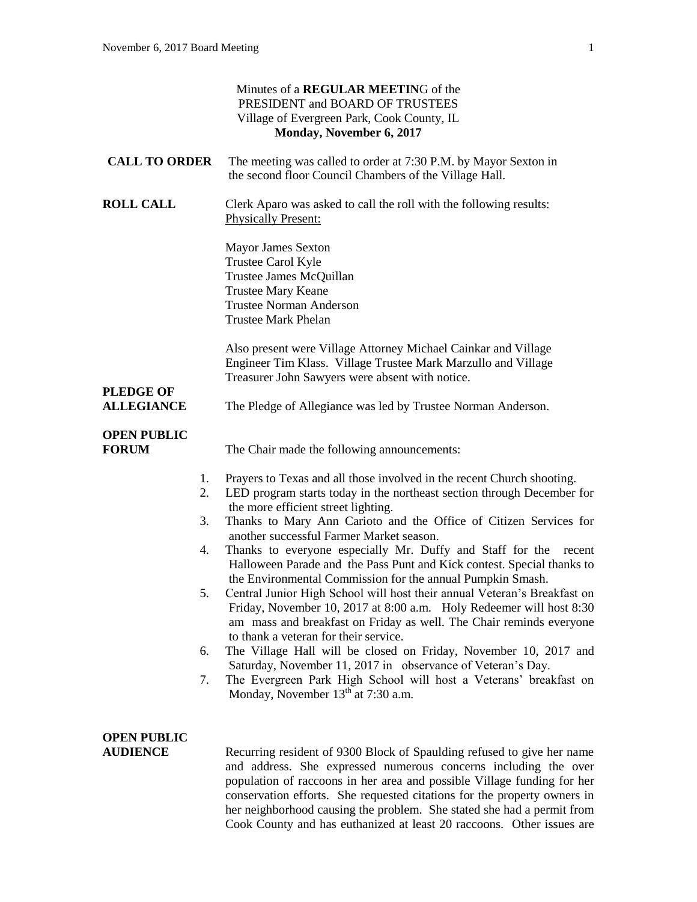|                                             | Minutes of a REGULAR MEETING of the<br>PRESIDENT and BOARD OF TRUSTEES<br>Village of Evergreen Park, Cook County, IL<br>Monday, November 6, 2017                                                                                                                                                                                                                                                                                                                                                                                                                                                                                                                                                                                                                                                                                                                                                                              |
|---------------------------------------------|-------------------------------------------------------------------------------------------------------------------------------------------------------------------------------------------------------------------------------------------------------------------------------------------------------------------------------------------------------------------------------------------------------------------------------------------------------------------------------------------------------------------------------------------------------------------------------------------------------------------------------------------------------------------------------------------------------------------------------------------------------------------------------------------------------------------------------------------------------------------------------------------------------------------------------|
| <b>CALL TO ORDER</b>                        | The meeting was called to order at 7:30 P.M. by Mayor Sexton in<br>the second floor Council Chambers of the Village Hall.                                                                                                                                                                                                                                                                                                                                                                                                                                                                                                                                                                                                                                                                                                                                                                                                     |
| <b>ROLL CALL</b>                            | Clerk Aparo was asked to call the roll with the following results:<br><b>Physically Present:</b>                                                                                                                                                                                                                                                                                                                                                                                                                                                                                                                                                                                                                                                                                                                                                                                                                              |
|                                             | <b>Mayor James Sexton</b><br>Trustee Carol Kyle<br>Trustee James McQuillan<br><b>Trustee Mary Keane</b><br><b>Trustee Norman Anderson</b><br><b>Trustee Mark Phelan</b>                                                                                                                                                                                                                                                                                                                                                                                                                                                                                                                                                                                                                                                                                                                                                       |
| <b>PLEDGE OF</b>                            | Also present were Village Attorney Michael Cainkar and Village<br>Engineer Tim Klass. Village Trustee Mark Marzullo and Village<br>Treasurer John Sawyers were absent with notice.                                                                                                                                                                                                                                                                                                                                                                                                                                                                                                                                                                                                                                                                                                                                            |
| <b>ALLEGIANCE</b>                           | The Pledge of Allegiance was led by Trustee Norman Anderson.                                                                                                                                                                                                                                                                                                                                                                                                                                                                                                                                                                                                                                                                                                                                                                                                                                                                  |
| <b>OPEN PUBLIC</b><br><b>FORUM</b>          | The Chair made the following announcements:                                                                                                                                                                                                                                                                                                                                                                                                                                                                                                                                                                                                                                                                                                                                                                                                                                                                                   |
| 1.<br>2.<br>3.<br>4.<br>5.<br>6.            | Prayers to Texas and all those involved in the recent Church shooting.<br>LED program starts today in the northeast section through December for<br>the more efficient street lighting.<br>Thanks to Mary Ann Carioto and the Office of Citizen Services for<br>another successful Farmer Market season.<br>Thanks to everyone especially Mr. Duffy and Staff for the<br>recent<br>Halloween Parade and the Pass Punt and Kick contest. Special thanks to<br>the Environmental Commission for the annual Pumpkin Smash.<br>Central Junior High School will host their annual Veteran's Breakfast on<br>Friday, November 10, 2017 at 8:00 a.m. Holy Redeemer will host 8:30<br>am mass and breakfast on Friday as well. The Chair reminds everyone<br>to thank a veteran for their service.<br>The Village Hall will be closed on Friday, November 10, 2017 and<br>Saturday, November 11, 2017 in observance of Veteran's Day. |
| 7.<br><b>OPEN PUBLIC</b><br><b>AUDIENCE</b> | The Evergreen Park High School will host a Veterans' breakfast on<br>Monday, November 13 <sup>th</sup> at 7:30 a.m.<br>Recurring resident of 9300 Block of Spaulding refused to give her name<br>and address. She expressed numerous concerns including the over<br>population of raccoons in her area and possible Village funding for her<br>conservation efforts. She requested citations for the property owners in<br>her neighborhood causing the problem. She stated she had a permit from<br>Cook County and has euthanized at least 20 raccoons. Other issues are                                                                                                                                                                                                                                                                                                                                                    |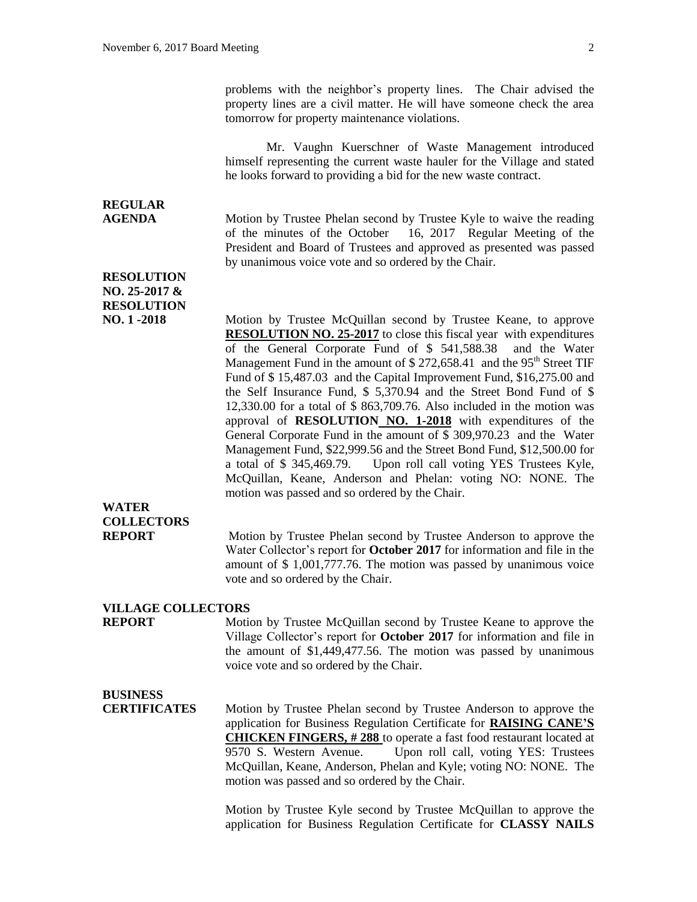problems with the neighbor's property lines. The Chair advised the property lines are a civil matter. He will have someone check the area tomorrow for property maintenance violations.

Mr. Vaughn Kuerschner of Waste Management introduced himself representing the current waste hauler for the Village and stated he looks forward to providing a bid for the new waste contract.

# **REGULAR**

**AGENDA** Motion by Trustee Phelan second by Trustee Kyle to waive the reading of the minutes of the October 16, 2017 Regular Meeting of the President and Board of Trustees and approved as presented was passed by unanimous voice vote and so ordered by the Chair.

**RESOLUTION NO. 25-2017 & RESOLUTION**

**NO. 1 -2018** Motion by Trustee McQuillan second by Trustee Keane, to approve **RESOLUTION NO. 25-2017** to close this fiscal year with expenditures of the General Corporate Fund of \$ 541,588.38 and the Water Management Fund in the amount of  $$272,658.41$  and the 95<sup>th</sup> Street TIF Fund of \$ 15,487.03 and the Capital Improvement Fund, \$16,275.00 and the Self Insurance Fund, \$ 5,370.94 and the Street Bond Fund of \$ 12,330.00 for a total of \$ 863,709.76. Also included in the motion was approval of **RESOLUTION NO. 1-2018** with expenditures of the General Corporate Fund in the amount of \$ 309,970.23 and the Water Management Fund, \$22,999.56 and the Street Bond Fund, \$12,500.00 for a total of \$ 345,469.79. Upon roll call voting YES Trustees Kyle, McQuillan, Keane, Anderson and Phelan: voting NO: NONE. The motion was passed and so ordered by the Chair.

# **WATER COLLECTORS**

**REPORT** Motion by Trustee Phelan second by Trustee Anderson to approve the Water Collector's report for **October 2017** for information and file in the amount of \$ 1,001,777.76. The motion was passed by unanimous voice vote and so ordered by the Chair.

#### **VILLAGE COLLECTORS**

**REPORT** Motion by Trustee McQuillan second by Trustee Keane to approve the Village Collector's report for **October 2017** for information and file in the amount of \$1,449,477.56. The motion was passed by unanimous voice vote and so ordered by the Chair.

## **BUSINESS**

**CERTIFICATES** Motion by Trustee Phelan second by Trustee Anderson to approve the application for Business Regulation Certificate for **RAISING CANE'S CHICKEN FINGERS, # 288** to operate a fast food restaurant located at 9570 S. Western Avenue. Upon roll call, voting YES: Trustees McQuillan, Keane, Anderson, Phelan and Kyle; voting NO: NONE. The motion was passed and so ordered by the Chair.

> Motion by Trustee Kyle second by Trustee McQuillan to approve the application for Business Regulation Certificate for **CLASSY NAILS**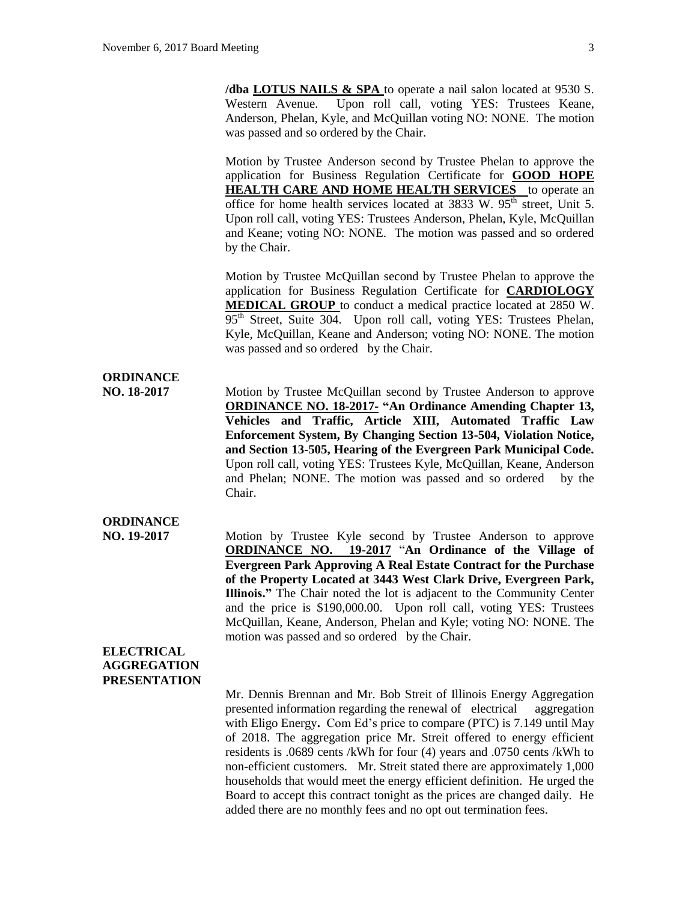**/dba LOTUS NAILS & SPA** to operate a nail salon located at 9530 S. Western Avenue. Upon roll call, voting YES: Trustees Keane, Anderson, Phelan, Kyle, and McQuillan voting NO: NONE. The motion was passed and so ordered by the Chair.

Motion by Trustee Anderson second by Trustee Phelan to approve the application for Business Regulation Certificate for **GOOD HOPE HEALTH CARE AND HOME HEALTH SERVICES** to operate an office for home health services located at  $3833$  W.  $95<sup>th</sup>$  street, Unit 5. Upon roll call, voting YES: Trustees Anderson, Phelan, Kyle, McQuillan and Keane; voting NO: NONE. The motion was passed and so ordered by the Chair.

Motion by Trustee McQuillan second by Trustee Phelan to approve the application for Business Regulation Certificate for **CARDIOLOGY MEDICAL GROUP** to conduct a medical practice located at 2850 W.  $95<sup>th</sup>$  Street, Suite 304. Upon roll call, voting YES: Trustees Phelan, Kyle, McQuillan, Keane and Anderson; voting NO: NONE. The motion was passed and so ordered by the Chair.

### **ORDINANCE**

**NO. 18-2017** Motion by Trustee McQuillan second by Trustee Anderson to approve **ORDINANCE NO. 18-2017- "An Ordinance Amending Chapter 13, Vehicles and Traffic, Article XIII, Automated Traffic Law Enforcement System, By Changing Section 13-504, Violation Notice, and Section 13-505, Hearing of the Evergreen Park Municipal Code.** Upon roll call, voting YES: Trustees Kyle, McQuillan, Keane, Anderson and Phelan; NONE. The motion was passed and so ordered by the Chair.

### **ORDINANCE**

**NO. 19-2017** Motion by Trustee Kyle second by Trustee Anderson to approve **ORDINANCE NO. 19-2017** "**An Ordinance of the Village of Evergreen Park Approving A Real Estate Contract for the Purchase of the Property Located at 3443 West Clark Drive, Evergreen Park, Illinois."** The Chair noted the lot is adjacent to the Community Center and the price is \$190,000.00. Upon roll call, voting YES: Trustees McQuillan, Keane, Anderson, Phelan and Kyle; voting NO: NONE. The motion was passed and so ordered by the Chair.

#### **ELECTRICAL AGGREGATION PRESENTATION**

Mr. Dennis Brennan and Mr. Bob Streit of Illinois Energy Aggregation presented information regarding the renewal of electrical aggregation with Eligo Energy**.** Com Ed's price to compare (PTC) is 7.149 until May of 2018. The aggregation price Mr. Streit offered to energy efficient residents is .0689 cents /kWh for four (4) years and .0750 cents /kWh to non-efficient customers. Mr. Streit stated there are approximately 1,000 households that would meet the energy efficient definition. He urged the Board to accept this contract tonight as the prices are changed daily. He added there are no monthly fees and no opt out termination fees.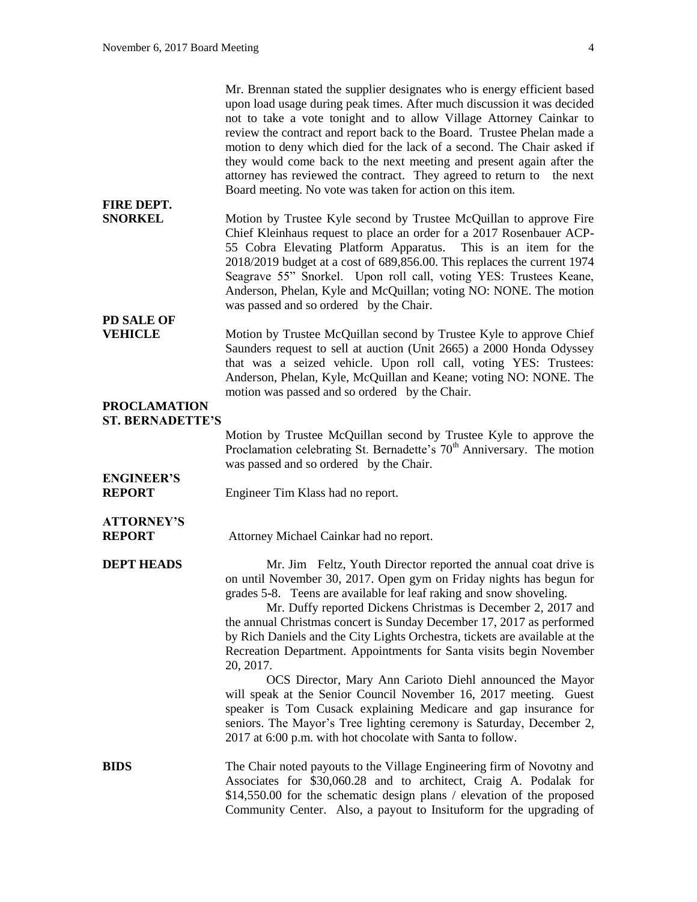|                                                | Mr. Brennan stated the supplier designates who is energy efficient based<br>upon load usage during peak times. After much discussion it was decided<br>not to take a vote tonight and to allow Village Attorney Cainkar to<br>review the contract and report back to the Board. Trustee Phelan made a<br>motion to deny which died for the lack of a second. The Chair asked if<br>they would come back to the next meeting and present again after the<br>attorney has reviewed the contract. They agreed to return to the next<br>Board meeting. No vote was taken for action on this item. |
|------------------------------------------------|-----------------------------------------------------------------------------------------------------------------------------------------------------------------------------------------------------------------------------------------------------------------------------------------------------------------------------------------------------------------------------------------------------------------------------------------------------------------------------------------------------------------------------------------------------------------------------------------------|
| <b>FIRE DEPT.</b><br><b>SNORKEL</b>            | Motion by Trustee Kyle second by Trustee McQuillan to approve Fire<br>Chief Kleinhaus request to place an order for a 2017 Rosenbauer ACP-<br>55 Cobra Elevating Platform Apparatus. This is an item for the<br>2018/2019 budget at a cost of 689,856.00. This replaces the current 1974<br>Seagrave 55" Snorkel. Upon roll call, voting YES: Trustees Keane,<br>Anderson, Phelan, Kyle and McQuillan; voting NO: NONE. The motion<br>was passed and so ordered by the Chair.                                                                                                                 |
| <b>PD SALE OF</b><br><b>VEHICLE</b>            | Motion by Trustee McQuillan second by Trustee Kyle to approve Chief<br>Saunders request to sell at auction (Unit 2665) a 2000 Honda Odyssey<br>that was a seized vehicle. Upon roll call, voting YES: Trustees:<br>Anderson, Phelan, Kyle, McQuillan and Keane; voting NO: NONE. The<br>motion was passed and so ordered by the Chair.                                                                                                                                                                                                                                                        |
| <b>PROCLAMATION</b><br><b>ST. BERNADETTE'S</b> |                                                                                                                                                                                                                                                                                                                                                                                                                                                                                                                                                                                               |
|                                                | Motion by Trustee McQuillan second by Trustee Kyle to approve the<br>Proclamation celebrating St. Bernadette's 70 <sup>th</sup> Anniversary. The motion<br>was passed and so ordered by the Chair.                                                                                                                                                                                                                                                                                                                                                                                            |
| <b>ENGINEER'S</b><br><b>REPORT</b>             | Engineer Tim Klass had no report.                                                                                                                                                                                                                                                                                                                                                                                                                                                                                                                                                             |
| <b>ATTORNEY'S</b><br><b>REPORT</b>             | Attorney Michael Cainkar had no report.                                                                                                                                                                                                                                                                                                                                                                                                                                                                                                                                                       |
| <b>DEPT HEADS</b>                              | Mr. Jim Feltz, Youth Director reported the annual coat drive is<br>on until November 30, 2017. Open gym on Friday nights has begun for<br>grades 5-8. Teens are available for leaf raking and snow shoveling.<br>Mr. Duffy reported Dickens Christmas is December 2, 2017 and<br>the annual Christmas concert is Sunday December 17, 2017 as performed<br>by Rich Daniels and the City Lights Orchestra, tickets are available at the<br>Recreation Department. Appointments for Santa visits begin November<br>20, 2017.                                                                     |
|                                                | OCS Director, Mary Ann Carioto Diehl announced the Mayor<br>will speak at the Senior Council November 16, 2017 meeting. Guest<br>speaker is Tom Cusack explaining Medicare and gap insurance for<br>seniors. The Mayor's Tree lighting ceremony is Saturday, December 2,<br>2017 at 6:00 p.m. with hot chocolate with Santa to follow.                                                                                                                                                                                                                                                        |
| <b>BIDS</b>                                    | The Chair noted payouts to the Village Engineering firm of Novotny and<br>Associates for \$30,060.28 and to architect, Craig A. Podalak for<br>\$14,550.00 for the schematic design plans / elevation of the proposed                                                                                                                                                                                                                                                                                                                                                                         |

Community Center. Also, a payout to Insituform for the upgrading of